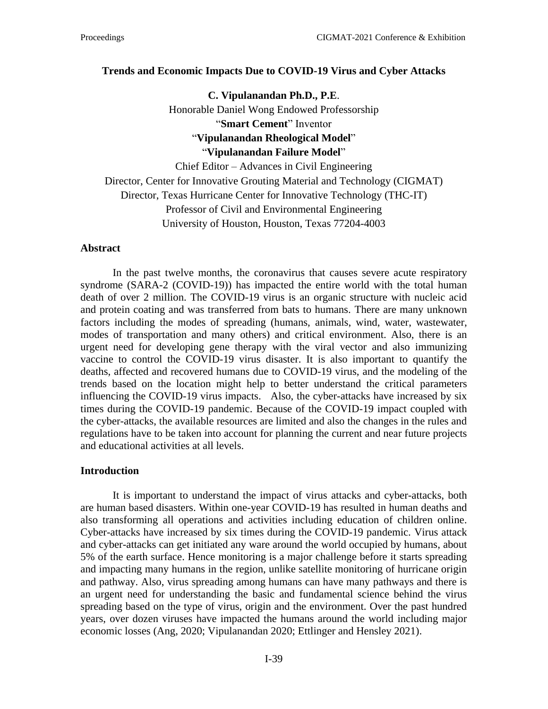#### **Trends and Economic Impacts Due to COVID-19 Virus and Cyber Attacks**

**C. Vipulanandan Ph.D., P.E**. Honorable Daniel Wong Endowed Professorship "**Smart Cement**" Inventor "**Vipulanandan Rheological Model**" "**Vipulanandan Failure Model**" Chief Editor – Advances in Civil Engineering

Director, Center for Innovative Grouting Material and Technology (CIGMAT) Director, Texas Hurricane Center for Innovative Technology (THC-IT) Professor of Civil and Environmental Engineering University of Houston, Houston, Texas 77204-4003

#### **Abstract**

In the past twelve months, the coronavirus that causes severe acute respiratory syndrome (SARA-2 (COVID-19)) has impacted the entire world with the total human death of over 2 million. The COVID-19 virus is an organic structure with nucleic acid and protein coating and was transferred from bats to humans. There are many unknown factors including the modes of spreading (humans, animals, wind, water, wastewater, modes of transportation and many others) and critical environment. Also, there is an urgent need for developing gene therapy with the viral vector and also immunizing vaccine to control the COVID-19 virus disaster. It is also important to quantify the deaths, affected and recovered humans due to COVID-19 virus, and the modeling of the trends based on the location might help to better understand the critical parameters influencing the COVID-19 virus impacts. Also, the cyber-attacks have increased by six times during the COVID-19 pandemic. Because of the COVID-19 impact coupled with the cyber-attacks, the available resources are limited and also the changes in the rules and regulations have to be taken into account for planning the current and near future projects and educational activities at all levels.

### **Introduction**

It is important to understand the impact of virus attacks and cyber-attacks, both are human based disasters. Within one-year COVID-19 has resulted in human deaths and also transforming all operations and activities including education of children online. Cyber-attacks have increased by six times during the COVID-19 pandemic. Virus attack and cyber-attacks can get initiated any ware around the world occupied by humans, about 5% of the earth surface. Hence monitoring is a major challenge before it starts spreading and impacting many humans in the region, unlike satellite monitoring of hurricane origin and pathway. Also, virus spreading among humans can have many pathways and there is an urgent need for understanding the basic and fundamental science behind the virus spreading based on the type of virus, origin and the environment. Over the past hundred years, over dozen viruses have impacted the humans around the world including major economic losses (Ang, 2020; Vipulanandan 2020; Ettlinger and Hensley 2021).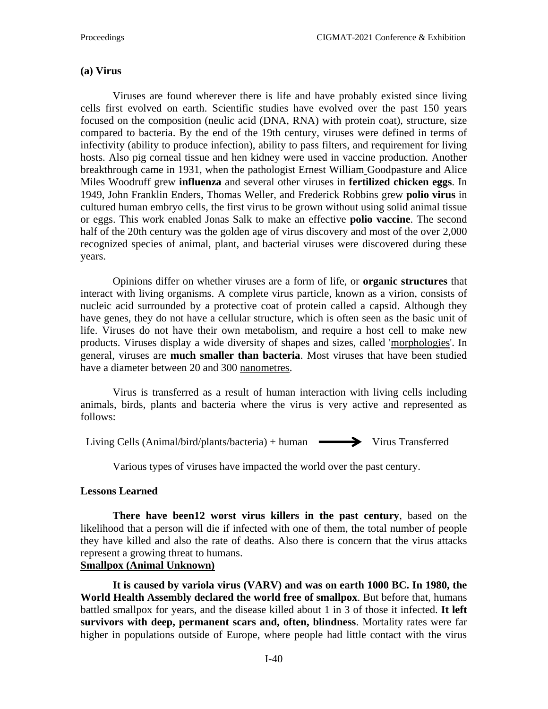#### **(a) Virus**

Viruses are found wherever there is life and have probably existed since living cells first evolved on earth. Scientific studies have evolved over the past 150 years focused on the composition (neulic acid (DNA, RNA) with protein coat), structure, size compared to bacteria. By the end of the 19th century, viruses were defined in terms of [infectivity](https://en.wikipedia.org/wiki/Infectivity) (ability to produce infection), ability to pass filters, and requirement for living hosts. Also pig corneal tissue and hen kidney were used in vaccine production. Another breakthrough came in 1931, when the pathologist [Ernest William](https://en.wikipedia.org/wiki/Ernest_William_Goodpasture) Goodpasture and [Alice](https://en.wikipedia.org/wiki/Alice_Miles_Woodruff)  [Miles Woodruff](https://en.wikipedia.org/wiki/Alice_Miles_Woodruff) grew **influenza** and several other viruses in **fertilized chicken eggs**. In 1949, [John Franklin Enders,](https://en.wikipedia.org/wiki/John_Franklin_Enders) [Thomas Weller,](https://en.wikipedia.org/wiki/Thomas_Huckle_Weller) and [Frederick Robbins](https://en.wikipedia.org/wiki/Frederick_Robbins) grew **polio virus** in cultured human embryo cells, the first virus to be grown without using solid animal tissue or eggs. This work enabled [Jonas Salk](https://en.wikipedia.org/wiki/Jonas_Salk) to make an effective **[polio vaccine](https://en.wikipedia.org/wiki/Polio_vaccine)**. The second half of the 20th century was the golden age of virus discovery and most of the over 2,000 recognized species of animal, plant, and bacterial viruses were discovered during these years.

Opinions differ on whether viruses are a form of life, or **organic structures** that interact with living organisms. A complete virus particle, known as a virion, consists of nucleic acid surrounded by a protective coat of protein called a [capsid.](https://en.wikipedia.org/wiki/Capsid) Although they have genes, they do not have a cellular structure, which is often seen as the basic unit of life. Viruses do not have their own [metabolism,](https://en.wikipedia.org/wiki/Metabolism) and require a host cell to make new products. Viruses display a wide diversity of shapes and sizes, called ['morphologies'](https://en.wikipedia.org/wiki/Morphology_(biology)). In general, viruses are **much smaller than bacteria**. Most viruses that have been studied have a diameter between 20 and 300 [nanometres.](https://en.wikipedia.org/wiki/Nanometres)

Virus is transferred as a result of human interaction with living cells including animals, birds, plants and bacteria where the virus is very active and represented as follows:

Living Cells (Animal/bird/plants/bacteria) + human  $\longrightarrow$  Virus Transferred

Various types of viruses have impacted the world over the past century.

#### **Lessons Learned**

**There have been12 worst virus killers in the past century**, based on the likelihood that a person will die if infected with one of them, the total number of people they have killed and also the rate of deaths. Also there is concern that the virus attacks represent a growing threat to humans.

#### **Smallpox (Animal Unknown)**

**It is caused by variola virus (VARV) and was on earth 1000 BC. In 1980, the World Health Assembly declared the world free of [smallpox](https://www.livescience.com/7509-smallpox-changed-world.html)**. But before that, humans battled smallpox for years, and the disease killed about 1 in 3 of those it infected. **It left survivors with deep, permanent scars and, often, blindness**. Mortality rates were far higher in populations outside of Europe, where people had little contact with the virus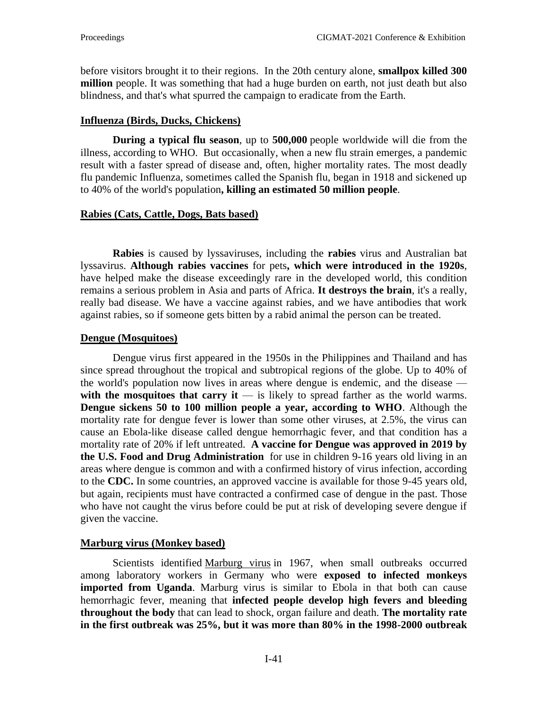before visitors brought it to their regions. In the 20th century alone, **smallpox killed 300 million** people. It was something that had a huge burden on earth, not just death but also blindness, and that's what spurred the campaign to eradicate from the Earth.

## **Influenza (Birds, Ducks, Chickens)**

**During a typical flu season**, up to **500,000** people [worldwide](https://www.livescience.com/16071-flu-deaths-children.html) will die from the [illness,](https://www.livescience.com/16071-flu-deaths-children.html) according to WHO. But occasionally, when a new flu strain emerges, a pandemic result with a faster spread of disease and, often, higher mortality rates. The most deadly flu pandemic Influenza, sometimes called the Spanish flu, began in 1918 and sickened up to 40% of the world's population**, killing an estimated 50 million people**.

## **Rabies (Cats, Cattle, Dogs, Bats based)**

**Rabies** is caused by lyssaviruses, including the **rabies** virus and Australian bat lyssavirus. **Although rabies vaccines** for pets**, which were introduced in the 1920s**, have helped make the disease exceedingly rare in the developed world, this condition remains a serious problem in Asia and parts of Africa. **It destroys the brain**, it's a really, really bad disease. We have a vaccine against rabies, and we have antibodies that work against rabies, so if someone gets bitten by a rabid [animal](https://www.livescience.com/38922-rabies-death-public-health.html) the person can be treated.

## **Dengue (Mosquitoes)**

Dengue virus first appeared in the 1950s in the Philippines and Thailand and has since spread throughout the tropical and subtropical regions of the globe. Up to 40% of the world's population now lives in areas where dengue is [endemic,](https://www.livescience.com/41213-dengue-fever-outbreak-key-west-tucson.html) and the disease with the mosquitoes that carry it  $-$  is likely to spread farther as the world warms. **Dengue sickens 50 to 100 million people a year, according to WHO**. Although the mortality rate for dengue fever is lower than some other viruses, at 2.5%, the virus can cause an Ebola-like disease called dengue hemorrhagic fever, and that condition has a mortality rate of 20% if left untreated. **A vaccine for Dengue was approved in 2019 by the U.S. Food and Drug Administration** for use in children 9-16 years old living in an areas where dengue is common and with a confirmed history of virus infection, according to the **[CDC.](https://www.cdc.gov/dengue/prevention/dengue-vaccine.html)** In some countries, an approved vaccine is available for those 9-45 years old, but again, recipients must have contracted a confirmed case of dengue in the past. Those who have not caught the virus before could be put at risk of developing severe dengue if given the vaccine.

## **Marburg virus (Monkey based)**

Scientists identified [Marburg](http://www.cdc.gov/vhf/marburg) virus in 1967, when small outbreaks occurred among laboratory workers in Germany who were **exposed to infected monkeys imported from Uganda**. Marburg virus is similar to Ebola in that both can cause hemorrhagic fever, meaning that **infected people develop high fevers and bleeding throughout the body** that can lead to shock, organ failure and death. **The mortality rate in the first outbreak was 25%, but it was more than 80% in the 1998-2000 outbreak**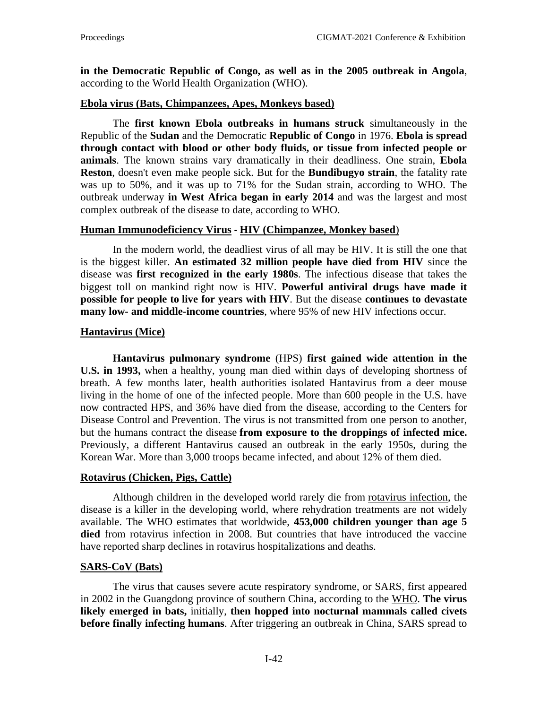**in the Democratic Republic of Congo, as well as in the 2005 outbreak in Angola**, according to the World Health Organization (WHO).

### **Ebola virus (Bats, Chimpanzees, Apes, Monkeys based)**

The **first known Ebola outbreaks in humans struck** simultaneously in the Republic of the **Sudan** and the Democratic **Republic of Congo** in 1976. **Ebola is spread through contact with blood or other body fluids, or tissue from infected people or animals**. The known strains vary dramatically in their deadliness. One strain, **Ebola Reston**, doesn't even make people sick. But for the **Bundibugyo strain**, the fatality rate was up to 50%, and it was up to 71% for the Sudan strain, according to WHO. The outbreak underway **in West Africa began in early 2014** and was the largest and most complex outbreak of the disease to date, according to WHO.

### **Human Immunodeficiency Virus** *-* **HIV (Chimpanzee, Monkey based**)

In the modern world, the deadliest virus of all may be HIV. It is still the one that is the biggest killer. **An estimated 32 million people have died from HIV** since the disease was **first recognized in the early 1980s**. The infectious disease that takes the biggest toll on mankind right now is HIV. **Powerful antiviral drugs have made it possible for people to live for [years](https://www.livescience.com/34699-hiv-aids-symptoms-treament-prevention.html) with HIV**. But the disease **continues to devastate many low- and middle-income countries**, where 95% of new HIV infections occur.

### **Hantavirus (Mice)**

**Hantavirus pulmonary syndrome** (HPS) **first gained wide attention in the U.S. in 1993,** when a healthy, young man died within days of developing shortness of breath. A few months later, health authorities isolated Hantavirus from a deer mouse living in the home of one of the infected people. More than 600 people in the U.S. have now contracted HPS, and 36% have died from the disease, according to the Centers for Disease Control and Prevention. The virus is not transmitted from one person to another, but the humans contract the disease **from exposure to the [droppings](https://www.livescience.com/36640-hantavirus-yosemite-park-third-death.html) of infected mice.**  Previously, a different Hantavirus caused an outbreak in the early 1950s, during the Korean War. More than 3,000 troops became infected, and about 12% of them died.

### **Rotavirus (Chicken, Pigs, Cattle)**

Although children in the developed world rarely die from rotavirus [infection,](https://www.livescience.com/19699-blood-type-rotavirus-infection-stomach-bug.html) the disease is a killer in the developing world, where rehydration treatments are not widely available. The WHO estimates that worldwide, **453,000 children younger than age 5 died** from rotavirus infection in 2008. But countries that have introduced the vaccine have reported sharp declines in rotavirus hospitalizations and deaths.

### **SARS-CoV (Bats)**

The virus that causes severe acute respiratory syndrome, or SARS, first appeared in 2002 in the Guangdong province of southern China, according to the [WHO.](http://who.int/ith/diseases/sars/en/) **The virus likely emerged in bats,** initially, **then hopped into nocturnal mammals called civets before finally infecting humans**. After triggering an outbreak in China, SARS spread to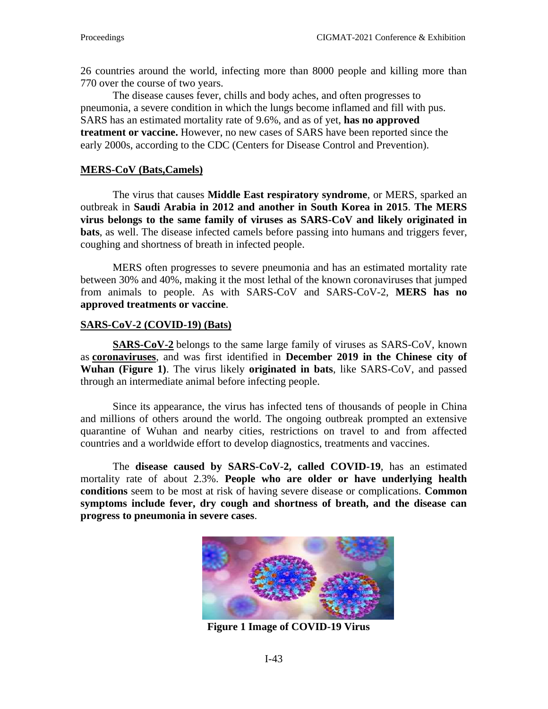26 countries around the world, infecting more than 8000 people and killing more than 770 over the course of two years.

The disease causes fever, chills and body aches, and often progresses to pneumonia, a severe condition in which the lungs become inflamed and fill with pus. SARS has an estimated mortality rate of 9.6%, and as of yet, **has no approved treatment or vaccine.** However, no new cases of SARS have been reported since the early 2000s, according to the [CDC](https://www.cdc.gov/sars/about/faq.html) (Centers for Disease Control and Prevention).

#### **MERS-CoV (Bats,Camels)**

The virus that causes **Middle East respiratory syndrome**, or MERS, sparked an outbreak in **Saudi Arabia in 2012 and another in South Korea in 2015**. **The MERS virus belongs to the same family of viruses as SARS-CoV and likely originated in bats**, as well. The disease infected camels before passing into humans and triggers fever, coughing and shortness of breath in infected people.

MERS often progresses to severe pneumonia and has an estimated mortality rate between 30% and 40%, making it the most lethal of the known coronaviruses that jumped from animals to people. As with SARS-CoV and SARS-CoV-2, **MERS has no approved treatments or vaccine**.

#### **SARS-CoV-2 (COVID-19) (Bats)**

**[SARS-CoV-2](https://www.livescience.com/topics/live/coronavirus-live-updates)** belongs to the same large family of viruses as SARS-CoV, known as **[coronaviruses](https://www.livescience.com/what-are-coronaviruses.html)**, and was first identified in **December 2019 in the Chinese city of Wuhan (Figure 1)**. The virus likely **originated in bats**, like SARS-CoV, and passed through an intermediate animal before infecting people.

Since its appearance, the virus has infected tens of thousands of people in China and millions of others around the world. The ongoing outbreak prompted an extensive quarantine of Wuhan and nearby cities, restrictions on travel to and from affected countries and a worldwide effort to develop diagnostics, treatments and vaccines.

The **disease caused by SARS-CoV-2, called COVID-19**, has an estimated mortality rate of about 2.3%. **People who are older or have underlying health conditions** seem to be most at risk of having severe disease or complications. **Common symptoms include fever, dry cough and shortness of breath, and the disease can progress to pneumonia in severe cases**.



 **Figure 1 Image of COVID-19 Virus**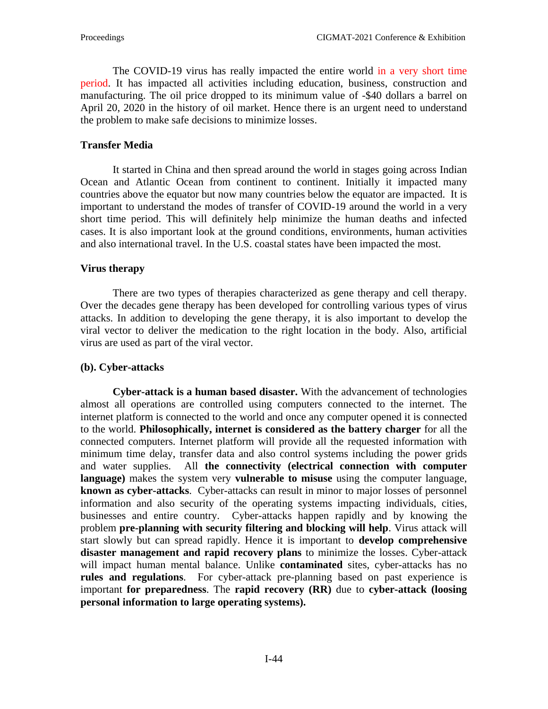The COVID-19 virus has really impacted the entire world in a very short time period. It has impacted all activities including education, business, construction and manufacturing. The oil price dropped to its minimum value of -\$40 dollars a barrel on April 20, 2020 in the history of oil market. Hence there is an urgent need to understand the problem to make safe decisions to minimize losses.

### **Transfer Media**

It started in China and then spread around the world in stages going across Indian Ocean and Atlantic Ocean from continent to continent. Initially it impacted many countries above the equator but now many countries below the equator are impacted. It is important to understand the modes of transfer of COVID-19 around the world in a very short time period. This will definitely help minimize the human deaths and infected cases. It is also important look at the ground conditions, environments, human activities and also international travel. In the U.S. coastal states have been impacted the most.

### **Virus therapy**

There are two types of therapies characterized as gene therapy and cell therapy. Over the decades gene therapy has been developed for controlling various types of virus attacks. In addition to developing the gene therapy, it is also important to develop the viral vector to deliver the medication to the right location in the body. Also, artificial virus are used as part of the viral vector.

### **(b). Cyber-attacks**

**Cyber-attack is a human based disaster.** With the advancement of technologies almost all operations are controlled using computers connected to the internet. The internet platform is connected to the world and once any computer opened it is connected to the world. **Philosophically, internet is considered as the battery charger** for all the connected computers. Internet platform will provide all the requested information with minimum time delay, transfer data and also control systems including the power grids and water supplies. All **the connectivity (electrical connection with computer language)** makes the system very **vulnerable to misuse** using the computer language, **known as cyber-attacks**. Cyber-attacks can result in minor to major losses of personnel information and also security of the operating systems impacting individuals, cities, businesses and entire country. Cyber-attacks happen rapidly and by knowing the problem **pre-planning with security filtering and blocking will help**. Virus attack will start slowly but can spread rapidly. Hence it is important to **develop comprehensive disaster management and rapid recovery plans** to minimize the losses. Cyber-attack will impact human mental balance. Unlike **contaminated** sites, cyber-attacks has no **rules and regulations**. For cyber-attack pre-planning based on past experience is important **for preparedness**. The **rapid recovery (RR)** due to **cyber-attack (loosing personal information to large operating systems).**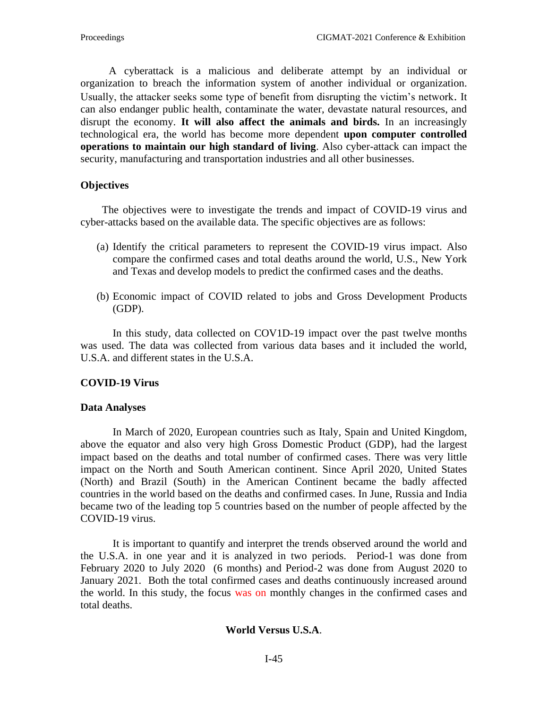A cyberattack is a malicious and deliberate attempt by an individual or organization to breach the information system of another individual or organization. Usually, the attacker seeks some type of benefit from disrupting the victim's network. It can also endanger public health, contaminate the water, devastate natural resources, and disrupt the economy. **It will also affect the animals and birds.** In an increasingly technological era, the world has become more dependent **upon computer controlled operations to maintain our high standard of living**. Also cyber-attack can impact the security, manufacturing and transportation industries and all other businesses.

### **Objectives**

 The objectives were to investigate the trends and impact of COVID-19 virus and cyber-attacks based on the available data. The specific objectives are as follows:

- (a) Identify the critical parameters to represent the COVID-19 virus impact. Also compare the confirmed cases and total deaths around the world, U.S., New York and Texas and develop models to predict the confirmed cases and the deaths.
- (b) Economic impact of COVID related to jobs and Gross Development Products (GDP).

In this study, data collected on COV1D-19 impact over the past twelve months was used. The data was collected from various data bases and it included the world, U.S.A. and different states in the U.S.A.

### **COVID-19 Virus**

### **Data Analyses**

In March of 2020, European countries such as Italy, Spain and United Kingdom, above the equator and also very high Gross Domestic Product (GDP), had the largest impact based on the deaths and total number of confirmed cases. There was very little impact on the North and South American continent. Since April 2020, United States (North) and Brazil (South) in the American Continent became the badly affected countries in the world based on the deaths and confirmed cases. In June, Russia and India became two of the leading top 5 countries based on the number of people affected by the COVID-19 virus.

It is important to quantify and interpret the trends observed around the world and the U.S.A. in one year and it is analyzed in two periods. Period-1 was done from February 2020 to July 2020 (6 months) and Period-2 was done from August 2020 to January 2021. Both the total confirmed cases and deaths continuously increased around the world. In this study, the focus was on monthly changes in the confirmed cases and total deaths.

### **World Versus U.S.A**.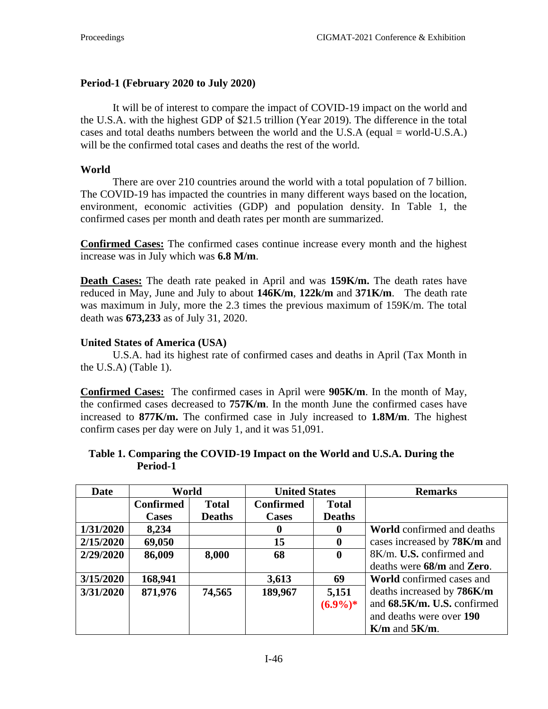### **Period-1 (February 2020 to July 2020)**

It will be of interest to compare the impact of COVID-19 impact on the world and the U.S.A. with the highest GDP of \$21.5 trillion (Year 2019). The difference in the total cases and total deaths numbers between the world and the U.S.A (equal = world-U.S.A.) will be the confirmed total cases and deaths the rest of the world.

### **World**

There are over 210 countries around the world with a total population of 7 billion. The COVID-19 has impacted the countries in many different ways based on the location, environment, economic activities (GDP) and population density. In Table 1, the confirmed cases per month and death rates per month are summarized.

**Confirmed Cases:** The confirmed cases continue increase every month and the highest increase was in July which was **6.8 M/m**.

**Death Cases:** The death rate peaked in April and was **159K/m.** The death rates have reduced in May, June and July to about **146K/m**, **122k/m** and **371K/m**. The death rate was maximum in July, more the 2.3 times the previous maximum of 159K/m. The total death was **673,233** as of July 31, 2020.

### **United States of America (USA)**

U.S.A. had its highest rate of confirmed cases and deaths in April (Tax Month in the U.S.A) (Table 1).

**Confirmed Cases:** The confirmed cases in April were **905K/m**. In the month of May, the confirmed cases decreased to **757K/m**. In the month June the confirmed cases have increased to **877K/m.** The confirmed case in July increased to **1.8M/m**. The highest confirm cases per day were on July 1, and it was 51,091.

### **Table 1. Comparing the COVID-19 Impact on the World and U.S.A. During the Period-1**

| <b>Date</b> | World            |               | <b>United States</b> |               | <b>Remarks</b>                    |
|-------------|------------------|---------------|----------------------|---------------|-----------------------------------|
|             | <b>Confirmed</b> | <b>Total</b>  | <b>Confirmed</b>     | <b>Total</b>  |                                   |
|             | <b>Cases</b>     | <b>Deaths</b> | <b>Cases</b>         | <b>Deaths</b> |                                   |
| 1/31/2020   | 8,234            |               | 0                    | $\mathbf 0$   | <b>World</b> confirmed and deaths |
| 2/15/2020   | 69,050           |               | 15                   | $\mathbf{0}$  | cases increased by 78K/m and      |
| 2/29/2020   | 86,009           | 8,000         | 68                   | $\mathbf 0$   | 8K/m. U.S. confirmed and          |
|             |                  |               |                      |               | deaths were 68/m and Zero.        |
| 3/15/2020   | 168,941          |               | 3,613                | 69            | <b>World</b> confirmed cases and  |
| 3/31/2020   | 871,976          | 74,565        | 189,967              | 5,151         | deaths increased by 786K/m        |
|             |                  |               |                      | $(6.9\%)*$    | and 68.5K/m. U.S. confirmed       |
|             |                  |               |                      |               | and deaths were over 190          |
|             |                  |               |                      |               | $K/m$ and $5K/m$ .                |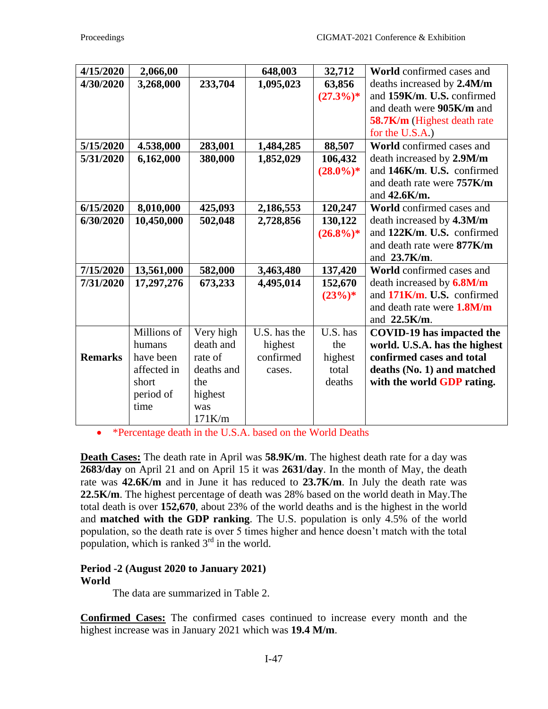| 4/15/2020      | 2,066,00    |            | 648,003      | 32,712      | <b>World</b> confirmed cases and |
|----------------|-------------|------------|--------------|-------------|----------------------------------|
| 4/30/2020      | 3,268,000   | 233,704    | 1,095,023    | 63,856      | deaths increased by 2.4M/m       |
|                |             |            |              | $(27.3\%)*$ | and 159K/m. U.S. confirmed       |
|                |             |            |              |             | and death were 905K/m and        |
|                |             |            |              |             | 58.7K/m (Highest death rate      |
|                |             |            |              |             | for the U.S.A.)                  |
| 5/15/2020      | 4.538,000   | 283,001    | 1,484,285    | 88,507      | World confirmed cases and        |
| 5/31/2020      | 6,162,000   | 380,000    | 1,852,029    | 106,432     | death increased by 2.9M/m        |
|                |             |            |              | $(28.0\%)*$ | and 146K/m. U.S. confirmed       |
|                |             |            |              |             | and death rate were 757K/m       |
|                |             |            |              |             | and $42.6$ K/m.                  |
| 6/15/2020      | 8,010,000   | 425,093    | 2,186,553    | 120,247     | <b>World</b> confirmed cases and |
| 6/30/2020      | 10,450,000  | 502,048    | 2,728,856    | 130,122     | death increased by 4.3M/m        |
|                |             |            |              | $(26.8\%)*$ | and 122K/m. U.S. confirmed       |
|                |             |            |              |             | and death rate were 877K/m       |
|                |             |            |              |             | and 23.7K/m.                     |
| 7/15/2020      | 13,561,000  | 582,000    | 3,463,480    | 137,420     | World confirmed cases and        |
| 7/31/2020      | 17,297,276  | 673,233    | 4,495,014    | 152,670     | death increased by 6.8M/m        |
|                |             |            |              | $(23%)$ *   | and 171K/m. U.S. confirmed       |
|                |             |            |              |             | and death rate were 1.8M/m       |
|                |             |            |              |             | and 22.5K/m.                     |
|                | Millions of | Very high  | U.S. has the | U.S. has    | <b>COVID-19</b> has impacted the |
|                | humans      | death and  | highest      | the         | world. U.S.A. has the highest    |
| <b>Remarks</b> | have been   | rate of    | confirmed    | highest     | confirmed cases and total        |
|                | affected in | deaths and | cases.       | total       | deaths (No. 1) and matched       |
|                | short       | the        |              | deaths      | with the world GDP rating.       |
|                | period of   | highest    |              |             |                                  |
|                | time        | was        |              |             |                                  |
|                |             | 171K/m     |              |             |                                  |

• \*Percentage death in the U.S.A. based on the World Deaths

**Death Cases:** The death rate in April was **58.9K/m**. The highest death rate for a day was **2683/day** on April 21 and on April 15 it was **2631/day**. In the month of May, the death rate was **42.6K/m** and in June it has reduced to **23.7K/m**. In July the death rate was **22.5K/m**. The highest percentage of death was 28% based on the world death in May.The total death is over **152,670**, about 23% of the world deaths and is the highest in the world and **matched with the GDP ranking**. The U.S. population is only 4.5% of the world population, so the death rate is over 5 times higher and hence doesn't match with the total population, which is ranked  $3<sup>rd</sup>$  in the world.

### **Period -2 (August 2020 to January 2021) World**

The data are summarized in Table 2.

**Confirmed Cases:** The confirmed cases continued to increase every month and the highest increase was in January 2021 which was **19.4 M/m**.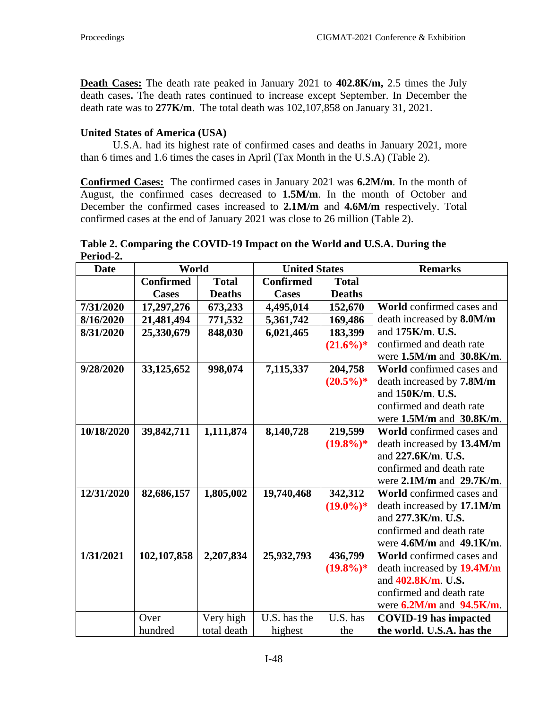**Death Cases:** The death rate peaked in January 2021 to **402.8K/m,** 2.5 times the July death cases**.** The death rates continued to increase except September. In December the death rate was to **277K/m**. The total death was 102,107,858 on January 31, 2021.

### **United States of America (USA)**

U.S.A. had its highest rate of confirmed cases and deaths in January 2021, more than 6 times and 1.6 times the cases in April (Tax Month in the U.S.A) (Table 2).

**Confirmed Cases:** The confirmed cases in January 2021 was **6.2M/m**. In the month of August, the confirmed cases decreased to **1.5M/m**. In the month of October and December the confirmed cases increased to **2.1M/m** and **4.6M/m** respectively. Total confirmed cases at the end of January 2021 was close to 26 million (Table 2).

**Table 2. Comparing the COVID-19 Impact on the World and U.S.A. During the Period-2.**

| <b>Date</b> | World            |               | <b>United States</b> |               | <b>Remarks</b>                   |
|-------------|------------------|---------------|----------------------|---------------|----------------------------------|
|             | <b>Confirmed</b> | <b>Total</b>  | <b>Confirmed</b>     | <b>Total</b>  |                                  |
|             | <b>Cases</b>     | <b>Deaths</b> | <b>Cases</b>         | <b>Deaths</b> |                                  |
| 7/31/2020   | 17,297,276       | 673,233       | 4,495,014            | 152,670       | <b>World</b> confirmed cases and |
| 8/16/2020   | 21,481,494       | 771,532       | 5,361,742            | 169,486       | death increased by 8.0M/m        |
| 8/31/2020   | 25,330,679       | 848,030       | 6,021,465            | 183,399       | and 175K/m. U.S.                 |
|             |                  |               |                      | $(21.6\%)*$   | confirmed and death rate         |
|             |                  |               |                      |               | were 1.5M/m and 30.8K/m.         |
| 9/28/2020   | 33,125,652       | 998,074       | 7,115,337            | 204,758       | <b>World</b> confirmed cases and |
|             |                  |               |                      | $(20.5\%)*$   | death increased by 7.8M/m        |
|             |                  |               |                      |               | and 150K/m. U.S.                 |
|             |                  |               |                      |               | confirmed and death rate         |
|             |                  |               |                      |               | were $1.5M/m$ and $30.8K/m$ .    |
| 10/18/2020  | 39,842,711       | 1,111,874     | 8,140,728            | 219,599       | World confirmed cases and        |
|             |                  |               |                      | $(19.8\%)*$   | death increased by 13.4M/m       |
|             |                  |               |                      |               | and 227.6K/m. U.S.               |
|             |                  |               |                      |               | confirmed and death rate         |
|             |                  |               |                      |               | were $2.1M/m$ and $29.7K/m$ .    |
| 12/31/2020  | 82,686,157       | 1,805,002     | 19,740,468           | 342,312       | World confirmed cases and        |
|             |                  |               |                      | $(19.0\%)*$   | death increased by 17.1M/m       |
|             |                  |               |                      |               | and 277.3K/m. U.S.               |
|             |                  |               |                      |               | confirmed and death rate         |
|             |                  |               |                      |               | were $4.6M/m$ and $49.1K/m$ .    |
| 1/31/2021   | 102,107,858      | 2,207,834     | 25,932,793           | 436,799       | World confirmed cases and        |
|             |                  |               |                      | $(19.8\%)*$   | death increased by 19.4M/m       |
|             |                  |               |                      |               | and 402.8K/m. U.S.               |
|             |                  |               |                      |               | confirmed and death rate         |
|             |                  |               |                      |               | were $6.2M/m$ and $94.5K/m$ .    |
|             | Over             | Very high     | U.S. has the         | U.S. has      | <b>COVID-19</b> has impacted     |
|             | hundred          | total death   | highest              | the           | the world. U.S.A. has the        |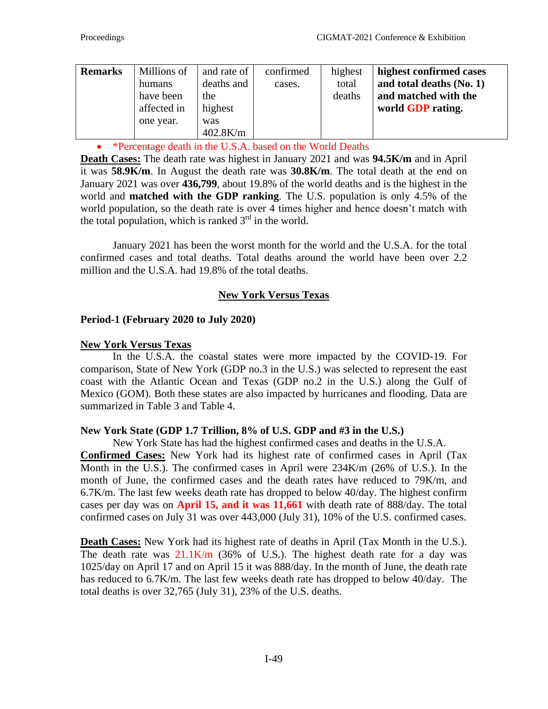| <b>Remarks</b> | Millions of<br>humans<br>have been<br>affected in<br>one year. | and rate of<br>deaths and<br>the<br>highest<br>was<br>$402.8$ K/m | confirmed<br>cases. | highest<br>total<br>deaths | highest confirmed cases<br>and total deaths $(N_0, 1)$<br>and matched with the<br>world <b>GDP</b> rating. |
|----------------|----------------------------------------------------------------|-------------------------------------------------------------------|---------------------|----------------------------|------------------------------------------------------------------------------------------------------------|
|----------------|----------------------------------------------------------------|-------------------------------------------------------------------|---------------------|----------------------------|------------------------------------------------------------------------------------------------------------|

• \*Percentage death in the U.S.A. based on the World Deaths

**Death Cases:** The death rate was highest in January 2021 and was **94.5K/m** and in April it was **58.9K/m**. In August the death rate was **30.8K/m**. The total death at the end on January 2021 was over **436,799**, about 19.8% of the world deaths and is the highest in the world and **matched with the GDP ranking**. The U.S. population is only 4.5% of the world population, so the death rate is over 4 times higher and hence doesn't match with the total population, which is ranked  $3<sup>rd</sup>$  in the world.

January 2021 has been the worst month for the world and the U.S.A. for the total confirmed cases and total deaths. Total deaths around the world have been over 2.2 million and the U.S.A. had 19.8% of the total deaths.

## **New York Versus Texas**

### **Period-1 (February 2020 to July 2020)**

### **New York Versus Texas**

In the U.S.A. the coastal states were more impacted by the COVID-19. For comparison, State of New York (GDP no.3 in the U.S.) was selected to represent the east coast with the Atlantic Ocean and Texas (GDP no.2 in the U.S.) along the Gulf of Mexico (GOM). Both these states are also impacted by hurricanes and flooding. Data are summarized in Table 3 and Table 4.

### **New York State (GDP 1.7 Trillion, 8% of U.S. GDP and #3 in the U.S.)**

New York State has had the highest confirmed cases and deaths in the U.S.A. **Confirmed Cases:** New York had its highest rate of confirmed cases in April (Tax Month in the U.S.). The confirmed cases in April were 234K/m (26% of U.S.). In the month of June, the confirmed cases and the death rates have reduced to 79K/m, and 6.7K/m. The last few weeks death rate has dropped to below 40/day. The highest confirm cases per day was on **April 15, and it was 11,661** with death rate of 888/day. The total confirmed cases on July 31 was over 443,000 (July 31), 10% of the U.S. confirmed cases.

**Death Cases:** New York had its highest rate of deaths in April (Tax Month in the U.S.). The death rate was  $21.1 \text{K/m}$  (36% of U.S.). The highest death rate for a day was 1025/day on April 17 and on April 15 it was 888/day. In the month of June, the death rate has reduced to 6.7K/m. The last few weeks death rate has dropped to below 40/day. The total deaths is over 32,765 (July 31), 23% of the U.S. deaths.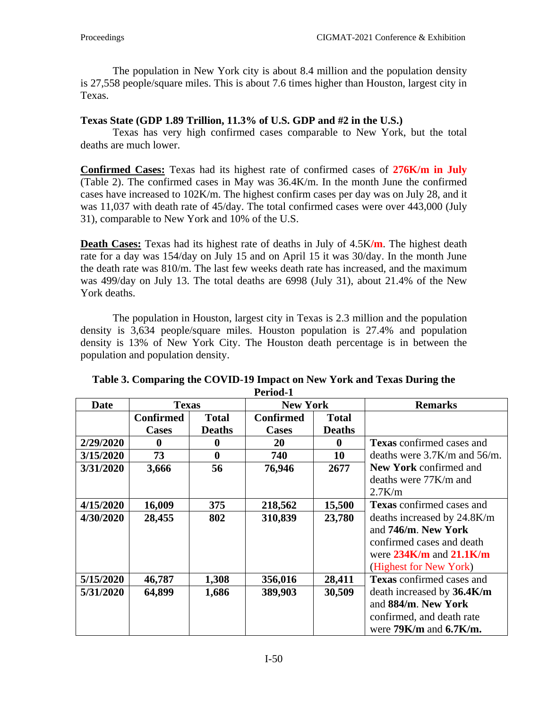The population in New York city is about 8.4 million and the population density is 27,558 people/square miles. This is about 7.6 times higher than Houston, largest city in Texas.

### **Texas State (GDP 1.89 Trillion, 11.3% of U.S. GDP and #2 in the U.S.)**

Texas has very high confirmed cases comparable to New York, but the total deaths are much lower.

**Confirmed Cases:** Texas had its highest rate of confirmed cases of **276K/m in July** (Table 2). The confirmed cases in May was 36.4K/m. In the month June the confirmed cases have increased to 102K/m. The highest confirm cases per day was on July 28, and it was 11,037 with death rate of 45/day. The total confirmed cases were over 443,000 (July 31), comparable to New York and 10% of the U.S.

**Death Cases:** Texas had its highest rate of deaths in July of 4.5K**/m**. The highest death rate for a day was 154/day on July 15 and on April 15 it was 30/day. In the month June the death rate was 810/m. The last few weeks death rate has increased, and the maximum was 499/day on July 13. The total deaths are 6998 (July 31), about 21.4% of the New York deaths.

The population in Houston, largest city in Texas is 2.3 million and the population density is 3,634 people/square miles. Houston population is 27.4% and population density is 13% of New York City. The Houston death percentage is in between the population and population density.

| <b>Date</b> | <b>Texas</b>     |               | <b>New York</b>  |               | <b>Remarks</b>                     |
|-------------|------------------|---------------|------------------|---------------|------------------------------------|
|             | <b>Confirmed</b> | <b>Total</b>  | <b>Confirmed</b> | <b>Total</b>  |                                    |
|             | <b>Cases</b>     | <b>Deaths</b> | <b>Cases</b>     | <b>Deaths</b> |                                    |
| 2/29/2020   | $\mathbf 0$      | $\mathbf 0$   | 20               | 0             | <b>Texas</b> confirmed cases and   |
| 3/15/2020   | 73               | $\bf{0}$      | 740              | 10            | deaths were $3.7$ K/m and $56$ /m. |
| 3/31/2020   | 3,666            | 56            | 76,946           | 2677          | New York confirmed and             |
|             |                  |               |                  |               | deaths were 77K/m and              |
|             |                  |               |                  |               | $2.7$ K/m                          |
| 4/15/2020   | 16,009           | 375           | 218,562          | 15,500        | <b>Texas</b> confirmed cases and   |
| 4/30/2020   | 28,455           | 802           | 310,839          | 23,780        | deaths increased by 24.8K/m        |
|             |                  |               |                  |               | and 746/m. New York                |
|             |                  |               |                  |               | confirmed cases and death          |
|             |                  |               |                  |               | were $234K/m$ and $21.1K/m$        |
|             |                  |               |                  |               | (Highest for New York)             |
| 5/15/2020   | 46,787           | 1,308         | 356,016          | 28,411        | <b>Texas</b> confirmed cases and   |
| 5/31/2020   | 64,899           | 1,686         | 389,903          | 30,509        | death increased by 36.4K/m         |
|             |                  |               |                  |               | and 884/m. New York                |
|             |                  |               |                  |               | confirmed, and death rate          |
|             |                  |               |                  |               | were $79K/m$ and $6.7K/m$ .        |

#### **Table 3. Comparing the COVID-19 Impact on New York and Texas During the Period-1**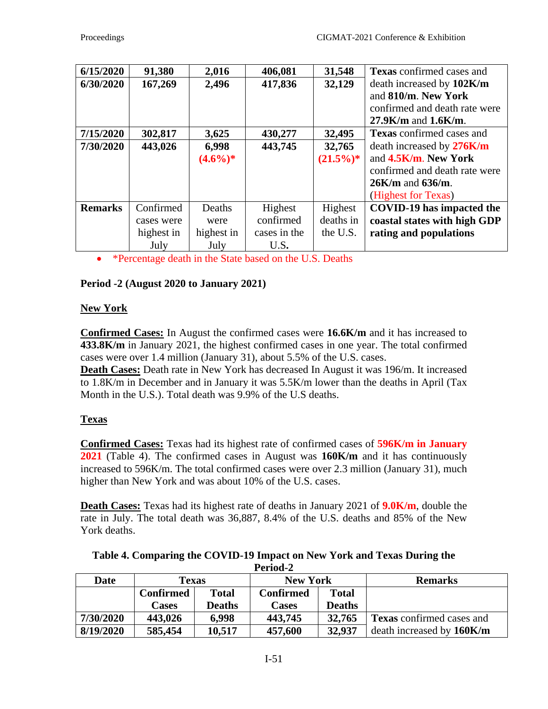| 6/15/2020      | 91,380     | 2,016      | 406,081      | 31,548      | <b>Texas</b> confirmed cases and |
|----------------|------------|------------|--------------|-------------|----------------------------------|
| 6/30/2020      | 167,269    | 2,496      | 417,836      | 32,129      | death increased by 102K/m        |
|                |            |            |              |             | and 810/m. New York              |
|                |            |            |              |             | confirmed and death rate were    |
|                |            |            |              |             | $27.9$ K/m and $1.6$ K/m.        |
| 7/15/2020      | 302,817    | 3,625      | 430,277      | 32,495      | <b>Texas</b> confirmed cases and |
| 7/30/2020      | 443,026    | 6,998      | 443,745      | 32,765      | death increased by 276K/m        |
|                |            | $(4.6\%)*$ |              | $(21.5\%)*$ | and 4.5K/m. New York             |
|                |            |            |              |             | confirmed and death rate were    |
|                |            |            |              |             | $26$ K/m and $636$ /m.           |
|                |            |            |              |             | (Highest for Texas)              |
| <b>Remarks</b> | Confirmed  | Deaths     | Highest      | Highest     | <b>COVID-19</b> has impacted the |
|                | cases were | were       | confirmed    | deaths in   | coastal states with high GDP     |
|                | highest in | highest in | cases in the | the U.S.    | rating and populations           |
|                | July       | July       | U.S.         |             |                                  |

• \*Percentage death in the State based on the U.S. Deaths

## **Period -2 (August 2020 to January 2021)**

### **New York**

**Confirmed Cases:** In August the confirmed cases were **16.6K/m** and it has increased to **433.8K/m** in January 2021, the highest confirmed cases in one year. The total confirmed cases were over 1.4 million (January 31), about 5.5% of the U.S. cases.

**Death Cases:** Death rate in New York has decreased In August it was 196/m. It increased to 1.8K/m in December and in January it was 5.5K/m lower than the deaths in April (Tax Month in the U.S.). Total death was 9.9% of the U.S deaths.

### **Texas**

**Confirmed Cases:** Texas had its highest rate of confirmed cases of **596K/m in January 2021** (Table 4). The confirmed cases in August was **160K/m** and it has continuously increased to 596K/m. The total confirmed cases were over 2.3 million (January 31), much higher than New York and was about 10% of the U.S. cases.

**Death Cases:** Texas had its highest rate of deaths in January 2021 of **9.0K/m**, double the rate in July. The total death was 36,887, 8.4% of the U.S. deaths and 85% of the New York deaths.

| Table 4. Comparing the COVID-19 Impact on New York and Texas During the |
|-------------------------------------------------------------------------|
| Period-2                                                                |

| <b>Date</b> | <b>Texas</b>     |               | <b>New York</b>                  |               | <b>Remarks</b>                   |
|-------------|------------------|---------------|----------------------------------|---------------|----------------------------------|
|             | <b>Confirmed</b> | <b>Total</b>  | <b>Confirmed</b><br><b>Total</b> |               |                                  |
|             | <b>Cases</b>     | <b>Deaths</b> | Cases                            | <b>Deaths</b> |                                  |
| 7/30/2020   | 443,026          | 6,998         | 443,745                          | 32,765        | <b>Texas</b> confirmed cases and |
| 8/19/2020   | 585,454          | 10,517        | 457,600                          | 32,937        | death increased by 160K/m        |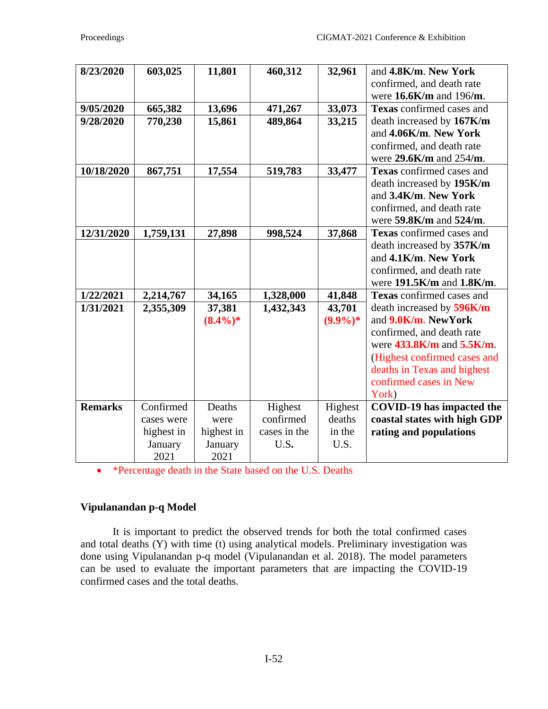| 8/23/2020      | 603,025    | 11,801               | 460,312      | 32,961               | and 4.8K/m. New York<br>confirmed, and death rate           |
|----------------|------------|----------------------|--------------|----------------------|-------------------------------------------------------------|
|                |            |                      |              |                      | were 16.6K/m and 196/m.                                     |
| 9/05/2020      | 665,382    | 13,696               | 471,267      | 33,073               | <b>Texas</b> confirmed cases and                            |
| 9/28/2020      | 770,230    | 15,861               | 489,864      | 33,215               | death increased by 167K/m                                   |
|                |            |                      |              |                      | and 4.06K/m. New York                                       |
|                |            |                      |              |                      | confirmed, and death rate                                   |
|                |            |                      |              |                      | were $29.6$ K/m and $254$ /m.                               |
| 10/18/2020     | 867,751    | 17,554               | 519,783      | 33,477               | Texas confirmed cases and                                   |
|                |            |                      |              |                      | death increased by 195K/m                                   |
|                |            |                      |              |                      | and 3.4K/m. New York                                        |
|                |            |                      |              |                      | confirmed, and death rate                                   |
|                |            |                      |              |                      | were 59.8K/m and 524/m.                                     |
| 12/31/2020     | 1,759,131  | 27,898               | 998,524      | 37,868               | <b>Texas</b> confirmed cases and                            |
|                |            |                      |              |                      | death increased by 357K/m                                   |
|                |            |                      |              |                      | and 4.1K/m. New York                                        |
|                |            |                      |              |                      | confirmed, and death rate                                   |
|                |            |                      |              |                      | were $191.5K/m$ and $1.8K/m$ .<br>Texas confirmed cases and |
| 1/22/2021      | 2,214,767  | 34,165               | 1,328,000    | 41,848               |                                                             |
| 1/31/2021      | 2,355,309  | 37,381<br>$(8.4\%)*$ | 1,432,343    | 43,701<br>$(9.9\%)*$ | death increased by 596K/m<br>and 9.0K/m. NewYork            |
|                |            |                      |              |                      | confirmed, and death rate                                   |
|                |            |                      |              |                      | were $433.8$ K/m and $5.5$ K/m.                             |
|                |            |                      |              |                      | (Highest confirmed cases and                                |
|                |            |                      |              |                      | deaths in Texas and highest                                 |
|                |            |                      |              |                      | confirmed cases in New                                      |
|                |            |                      |              |                      | York)                                                       |
| <b>Remarks</b> | Confirmed  | Deaths               | Highest      | Highest              | <b>COVID-19</b> has impacted the                            |
|                | cases were | were                 | confirmed    | deaths               | coastal states with high GDP                                |
|                | highest in | highest in           | cases in the | in the               | rating and populations                                      |
|                | January    | January              | U.S.         | U.S.                 |                                                             |
|                | 2021       | 2021                 |              |                      |                                                             |

• \*Percentage death in the State based on the U.S. Deaths

# **Vipulanandan p-q Model**

It is important to predict the observed trends for both the total confirmed cases and total deaths (Y) with time (t) using analytical models. Preliminary investigation was done using Vipulanandan p-q model (Vipulanandan et al. 2018). The model parameters can be used to evaluate the important parameters that are impacting the COVID-19 confirmed cases and the total deaths.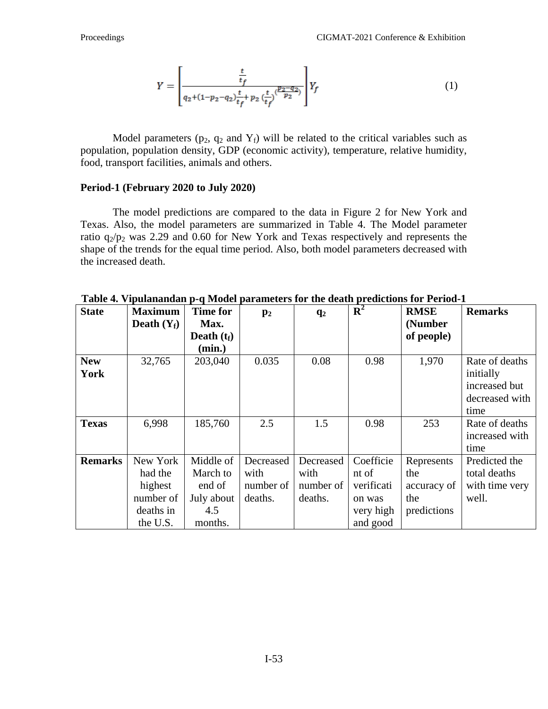$$
Y = \left[ \frac{\frac{t}{t_f}}{q_2 + (1 - p_2 - q_2)\frac{t}{t_f} + p_2(\frac{t}{t_f})\frac{(p_2 - q_2)}{p_2}} \right] Y_f \tag{1}
$$

Model parameters ( $p_2$ ,  $q_2$  and  $Y_f$ ) will be related to the critical variables such as population, population density, GDP (economic activity), temperature, relative humidity, food, transport facilities, animals and others.

#### **Period-1 (February 2020 to July 2020)**

The model predictions are compared to the data in Figure 2 for New York and Texas. Also, the model parameters are summarized in Table 4. The Model parameter ratio  $q_2/p_2$  was 2.29 and 0.60 for New York and Texas respectively and represents the shape of the trends for the equal time period. Also, both model parameters decreased with the increased death.

| <b>State</b>   | <b>Maximum</b> | <b>Time for</b> | $\mathbf{p}_2$ | $q_2$     | ${\bf R}^2$ | <b>RMSE</b> | <b>Remarks</b> |
|----------------|----------------|-----------------|----------------|-----------|-------------|-------------|----------------|
|                | Death $(Y_f)$  | Max.            |                |           |             | (Number     |                |
|                |                | Death $(t_f)$   |                |           |             | of people)  |                |
|                |                | (min.)          |                |           |             |             |                |
| <b>New</b>     | 32,765         | 203,040         | 0.035          | 0.08      | 0.98        | 1,970       | Rate of deaths |
| York           |                |                 |                |           |             |             | initially      |
|                |                |                 |                |           |             |             | increased but  |
|                |                |                 |                |           |             |             | decreased with |
|                |                |                 |                |           |             |             | time           |
| <b>Texas</b>   | 6,998          | 185,760         | 2.5            | 1.5       | 0.98        | 253         | Rate of deaths |
|                |                |                 |                |           |             |             | increased with |
|                |                |                 |                |           |             |             | time           |
| <b>Remarks</b> | New York       | Middle of       | Decreased      | Decreased | Coefficie   | Represents  | Predicted the  |
|                | had the        | March to        | with           | with      | nt of       | the         | total deaths   |
|                | highest        | end of          | number of      | number of | verificati  | accuracy of | with time very |
|                | number of      | July about      | deaths.        | deaths.   | on was      | the         | well.          |
|                | deaths in      | 4.5             |                |           | very high   | predictions |                |
|                | the U.S.       | months.         |                |           | and good    |             |                |

**Table 4. Vipulanandan p-q Model parameters for the death predictions for Period-1**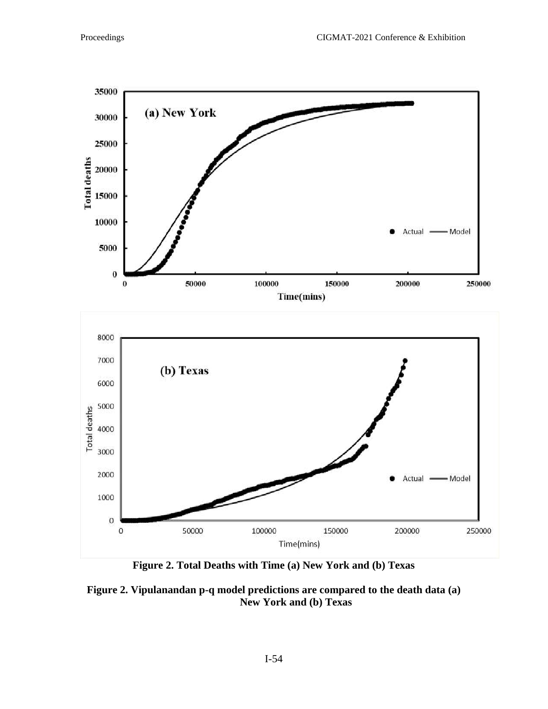

**Figure 2. Total Deaths with Time (a) New York and (b) Texas**

**Figure 2. Vipulanandan p-q model predictions are compared to the death data (a) New York and (b) Texas**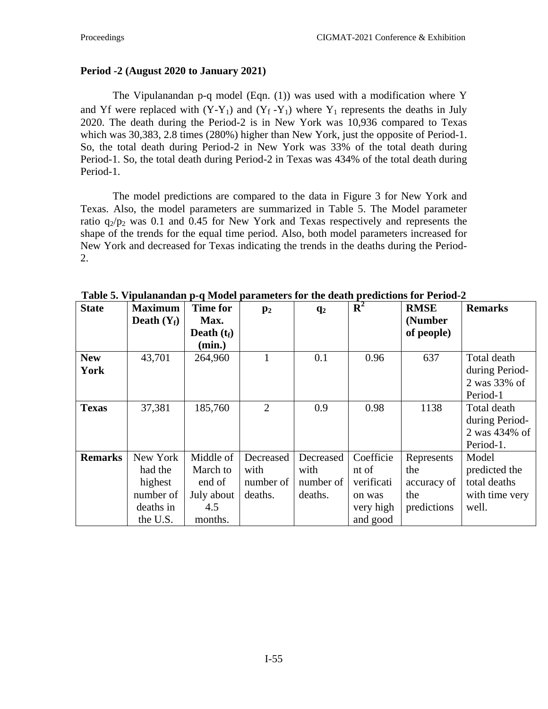### **Period -2 (August 2020 to January 2021)**

The Vipulanandan p-q model (Eqn. (1)) was used with a modification where Y and Yf were replaced with  $(Y-Y_1)$  and  $(Y_f-Y_1)$  where  $Y_1$  represents the deaths in July 2020. The death during the Period-2 is in New York was 10,936 compared to Texas which was 30,383, 2.8 times (280%) higher than New York, just the opposite of Period-1. So, the total death during Period-2 in New York was 33% of the total death during Period-1. So, the total death during Period-2 in Texas was 434% of the total death during Period-1.

The model predictions are compared to the data in Figure 3 for New York and Texas. Also, the model parameters are summarized in Table 5. The Model parameter ratio  $q_2/p_2$  was 0.1 and 0.45 for New York and Texas respectively and represents the shape of the trends for the equal time period. Also, both model parameters increased for New York and decreased for Texas indicating the trends in the deaths during the Period-2.

| <b>State</b>       | <b>Maximum</b><br>Death $(Y_f)$                                      | <b>Time for</b><br>Max.                                         | $\mathbf{p}_2$                            | q <sub>2</sub>                            | $\mathbf{R}^2$                                                      | <b>RMSE</b><br>(Number                                 | <b>Remarks</b>                                                    |
|--------------------|----------------------------------------------------------------------|-----------------------------------------------------------------|-------------------------------------------|-------------------------------------------|---------------------------------------------------------------------|--------------------------------------------------------|-------------------------------------------------------------------|
|                    |                                                                      | Death $(t_f)$<br>(min.)                                         |                                           |                                           |                                                                     | of people)                                             |                                                                   |
| <b>New</b><br>York | 43,701                                                               | 264,960                                                         |                                           | 0.1                                       | 0.96                                                                | 637                                                    | Total death<br>during Period-<br>2 was 33% of<br>Period-1         |
| <b>Texas</b>       | 37,381                                                               | 185,760                                                         | $\overline{2}$                            | 0.9                                       | 0.98                                                                | 1138                                                   | Total death<br>during Period-<br>2 was 434% of<br>Period-1.       |
| <b>Remarks</b>     | New York<br>had the<br>highest<br>number of<br>deaths in<br>the U.S. | Middle of<br>March to<br>end of<br>July about<br>4.5<br>months. | Decreased<br>with<br>number of<br>deaths. | Decreased<br>with<br>number of<br>deaths. | Coefficie<br>nt of<br>verificati<br>on was<br>very high<br>and good | Represents<br>the<br>accuracy of<br>the<br>predictions | Model<br>predicted the<br>total deaths<br>with time very<br>well. |

**Table 5. Vipulanandan p-q Model parameters for the death predictions for Period-2**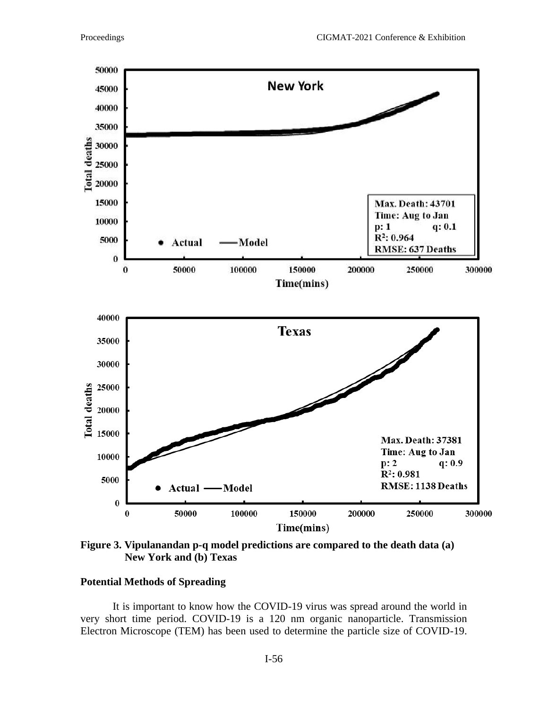

**Figure 3. Vipulanandan p-q model predictions are compared to the death data (a) New York and (b) Texas**

### **Potential Methods of Spreading**

It is important to know how the COVID-19 virus was spread around the world in very short time period. COVID-19 is a 120 nm organic nanoparticle. Transmission Electron Microscope (TEM) has been used to determine the particle size of COVID-19.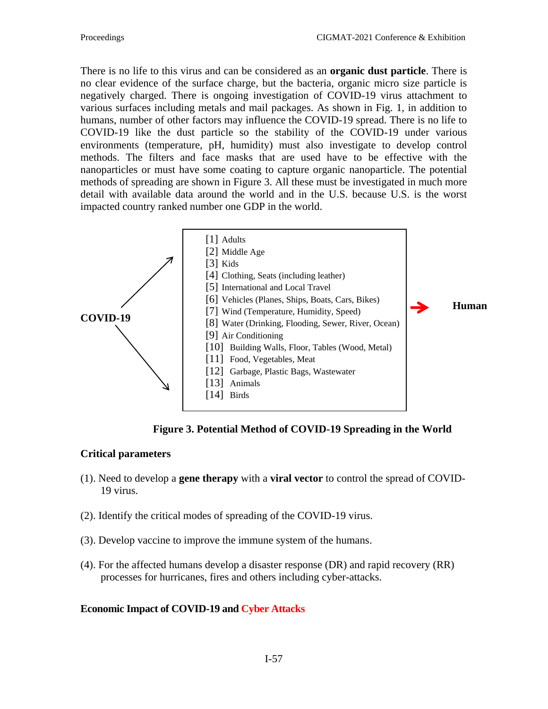There is no life to this virus and can be considered as an **organic dust particle**. There is no clear evidence of the surface charge, but the bacteria, organic micro size particle is negatively charged. There is ongoing investigation of COVID-19 virus attachment to various surfaces including metals and mail packages. As shown in Fig. 1, in addition to humans, number of other factors may influence the COVID-19 spread. There is no life to COVID-19 like the dust particle so the stability of the COVID-19 under various environments (temperature, pH, humidity) must also investigate to develop control methods. The filters and face masks that are used have to be effective with the nanoparticles or must have some coating to capture organic nanoparticle. The potential methods of spreading are shown in Figure 3. All these must be investigated in much more detail with available data around the world and in the U.S. because U.S. is the worst impacted country ranked number one GDP in the world.



**Human** 

 **Figure 3. Potential Method of COVID-19 Spreading in the World**

### **Critical parameters**

- (1). Need to develop a **gene therapy** with a **viral vector** to control the spread of COVID-19 virus.
- (2). Identify the critical modes of spreading of the COVID-19 virus.
- (3). Develop vaccine to improve the immune system of the humans.
- (4). For the affected humans develop a disaster response (DR) and rapid recovery (RR) processes for hurricanes, fires and others including cyber-attacks.

### **Economic Impact of COVID-19 and Cyber Attacks**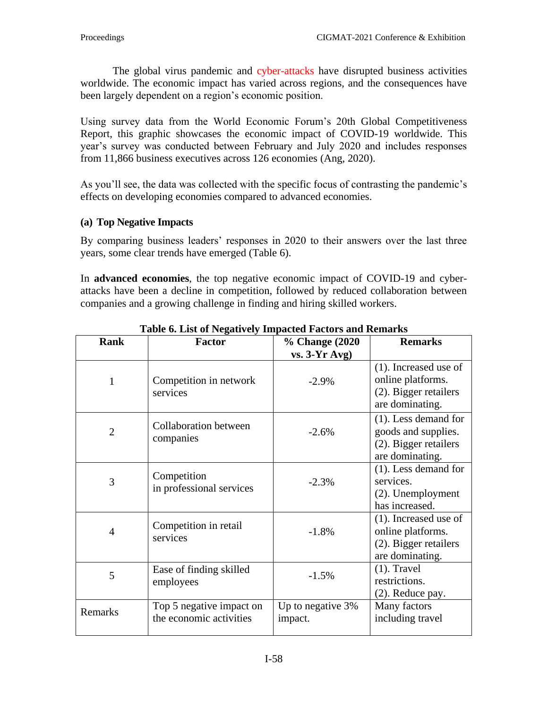The global virus pandemic and cyber-attacks have disrupted business activities worldwide. The economic impact has varied across regions, and the consequences have been largely dependent on a region's economic position.

Using survey data from the World Economic Forum's 20th [Global Competitiveness](http://www3.weforum.org/docs/WEF_TheGlobalCompetitivenessReport2020.pdf)  [Report,](http://www3.weforum.org/docs/WEF_TheGlobalCompetitivenessReport2020.pdf) this graphic showcases the economic impact of COVID-19 worldwide. This year's survey was conducted between February and July 2020 and includes responses from 11,866 business executives across 126 economies (Ang, 2020).

As you'll see, the data was collected with the specific focus of contrasting the pandemic's effects on developing economies compared to advanced economies.

### **(a) Top Negative Impacts**

By comparing business leaders' responses in 2020 to their answers over the last three years, some clear trends have emerged (Table 6).

In **advanced economies**, the top negative economic impact of COVID-19 and cyberattacks have been a decline in competition, followed by reduced collaboration between companies and a growing challenge in finding and hiring skilled workers.

| <b>Rank</b>    | <b>Factor</b>                                       | % Change (2020)              | <b>Remarks</b>                                                                             |
|----------------|-----------------------------------------------------|------------------------------|--------------------------------------------------------------------------------------------|
|                |                                                     | $vs. 3-Yr Avg)$              |                                                                                            |
| 1              | Competition in network<br>services                  | $-2.9%$                      | $(1)$ . Increased use of<br>online platforms.<br>(2). Bigger retailers<br>are dominating.  |
| $\overline{2}$ | <b>Collaboration between</b><br>companies           | $-2.6%$                      | $(1)$ . Less demand for<br>goods and supplies.<br>(2). Bigger retailers<br>are dominating. |
| 3              | Competition<br>in professional services             | $-2.3%$                      | $(1)$ . Less demand for<br>services.<br>$(2)$ . Unemployment<br>has increased.             |
| $\overline{4}$ | Competition in retail<br>services                   | $-1.8%$                      | $(1)$ . Increased use of<br>online platforms.<br>(2). Bigger retailers<br>are dominating.  |
| 5              | Ease of finding skilled<br>employees                | $-1.5%$                      | $(1)$ . Travel<br>restrictions.<br>$(2)$ . Reduce pay.                                     |
| Remarks        | Top 5 negative impact on<br>the economic activities | Up to negative 3%<br>impact. | Many factors<br>including travel                                                           |

**Table 6. List of Negatively Impacted Factors and Remarks**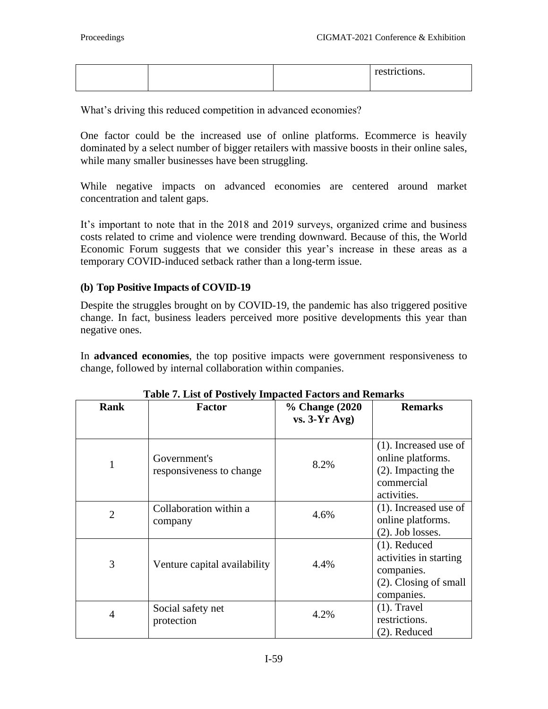|  | restrictions. |
|--|---------------|
|  |               |

What's driving this reduced competition in advanced economies?

One factor could be the increased use of online platforms. Ecommerce is heavily dominated by a select number of bigger retailers with massive boosts in their online sales, while many smaller businesses have been struggling.

While negative impacts on advanced economies are centered around market concentration and talent gaps.

It's important to note that in the 2018 and 2019 surveys, organized crime and business costs related to crime and violence were trending downward. Because of this, the World Economic Forum suggests that we consider this year's increase in these areas as a temporary COVID-induced setback rather than a long-term issue.

### **(b) Top Positive Impacts of COVID-19**

Despite the struggles brought on by COVID-19, the pandemic has also triggered positive change. In fact, business leaders perceived more positive developments this year than negative ones.

In **advanced economies**, the top positive impacts were government responsiveness to change, followed by internal collaboration within companies.

| <b>Rank</b>    | Factor                                   | % Change (2020)<br>$vs. 3-Yr Avg)$ | <b>Remarks</b>                                                                                      |
|----------------|------------------------------------------|------------------------------------|-----------------------------------------------------------------------------------------------------|
| $\mathbf{1}$   | Government's<br>responsiveness to change | 8.2%                               | $(1)$ . Increased use of<br>online platforms.<br>$(2)$ . Impacting the<br>commercial<br>activities. |
| $\overline{2}$ | Collaboration within a<br>company        | 4.6%                               | $(1)$ . Increased use of<br>online platforms.<br>$(2)$ . Job losses.                                |
| 3              | Venture capital availability             | 4.4%                               | $(1)$ . Reduced<br>activities in starting<br>companies.<br>$(2)$ . Closing of small<br>companies.   |
| $\overline{4}$ | Social safety net<br>protection          | 4.2%                               | $(1)$ . Travel<br>restrictions.<br>(2). Reduced                                                     |

### **Table 7. List of Postively Impacted Factors and Remarks**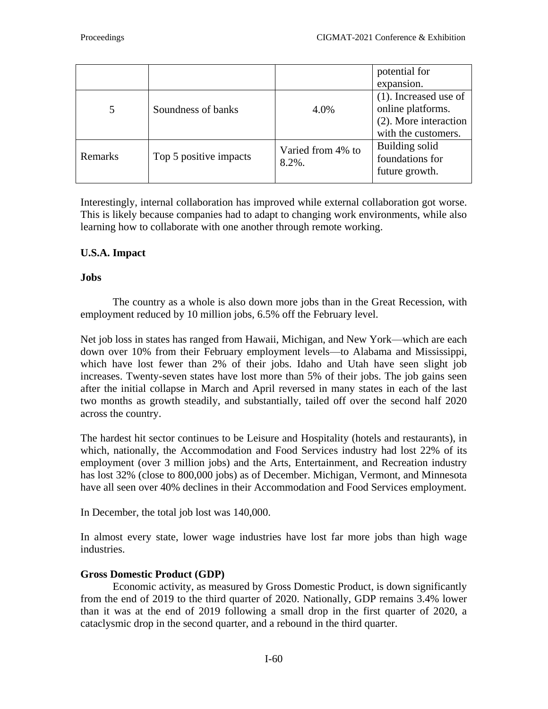|                |                        |                            | potential for<br>expansion.                                                                   |
|----------------|------------------------|----------------------------|-----------------------------------------------------------------------------------------------|
| 5              | Soundness of banks     | 4.0%                       | $(1)$ . Increased use of<br>online platforms.<br>(2). More interaction<br>with the customers. |
| <b>Remarks</b> | Top 5 positive impacts | Varied from 4% to<br>8.2%. | Building solid<br>foundations for<br>future growth.                                           |

Interestingly, internal collaboration has improved while external collaboration got worse. This is likely because companies had to adapt to changing work environments, while also learning how to collaborate with one another through [remote working.](https://www.visualcapitalist.com/how-people-and-companies-feel-about-working-remotely/)

# **U.S.A. Impact**

### **Jobs**

The country as a whole is also down more jobs than in the Great Recession, with employment reduced by 10 million jobs, 6.5% off the February level.

Net job loss in states has ranged from Hawaii, Michigan, and New York—which are each down over 10% from their February employment levels—to Alabama and Mississippi, which have lost fewer than 2% of their jobs. Idaho and Utah have seen slight job increases. Twenty-seven states have lost more than 5% of their jobs. The job gains seen after the initial collapse in March and April reversed in many states in each of the last two months as growth steadily, and substantially, tailed off over the second half 2020 across the country.

The hardest hit sector continues to be Leisure and Hospitality (hotels and restaurants), in which, nationally, the Accommodation and Food Services industry had lost 22% of its employment (over 3 million jobs) and the Arts, Entertainment, and Recreation industry has lost 32% (close to 800,000 jobs) as of December. Michigan, Vermont, and Minnesota have all seen over 40% declines in their Accommodation and Food Services employment.

In December, the total job lost was 140,000.

In almost every state, lower wage industries have lost far more jobs than high wage industries.

## **Gross Domestic Product (GDP)**

Economic activity, as measured by Gross Domestic Product, is down significantly from the end of 2019 to the third quarter of 2020. Nationally, GDP remains 3.4% lower than it was at the end of 2019 following a small drop in the first quarter of 2020, a cataclysmic drop in the second quarter, and a rebound in the third quarter.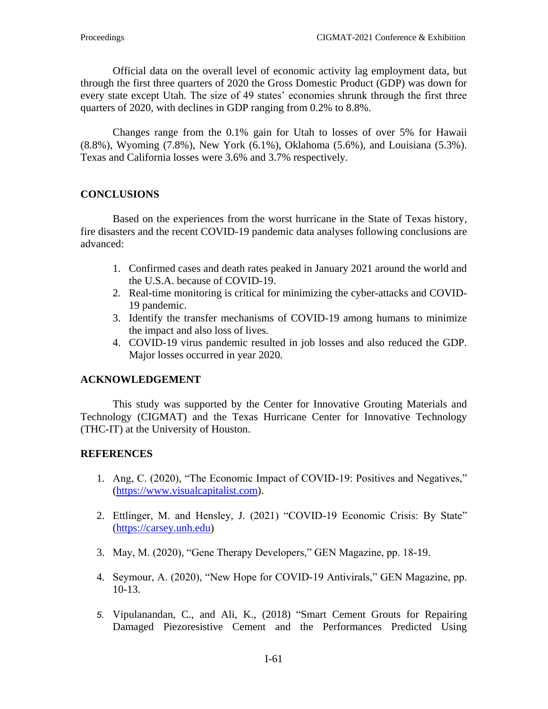Official data on the overall level of economic activity lag employment data, but through the first three quarters of 2020 the Gross Domestic Product (GDP) was down for every state except Utah. The size of 49 states' economies shrunk through the first three quarters of 2020, with declines in GDP ranging from 0.2% to 8.8%.

Changes range from the 0.1% gain for Utah to losses of over 5% for Hawaii (8.8%), Wyoming (7.8%), New York (6.1%), Oklahoma (5.6%), and Louisiana (5.3%). Texas and California losses were 3.6% and 3.7% respectively.

### **CONCLUSIONS**

Based on the experiences from the worst hurricane in the State of Texas history, fire disasters and the recent COVID-19 pandemic data analyses following conclusions are advanced:

- 1. Confirmed cases and death rates peaked in January 2021 around the world and the U.S.A. because of COVID-19.
- 2. Real-time monitoring is critical for minimizing the cyber-attacks and COVID-19 pandemic.
- 3. Identify the transfer mechanisms of COVID-19 among humans to minimize the impact and also loss of lives.
- 4. COVID-19 virus pandemic resulted in job losses and also reduced the GDP. Major losses occurred in year 2020.

### **ACKNOWLEDGEMENT**

This study was supported by the Center for Innovative Grouting Materials and Technology (CIGMAT) and the Texas Hurricane Center for Innovative Technology (THC-IT) at the University of Houston.

### **REFERENCES**

- 1. Ang, C. (2020), "The Economic Impact of COVID-19: Positives and Negatives," [\(https://www.visualcapitalist.com\)](https://www.visualcapitalist.com/).
- 2. Ettlinger, M. and Hensley, J. (2021) "COVID-19 Economic Crisis: By State" [\(https://carsey.unh.edu\)](https://carsey.unh.edu/)
- 3. May, M. (2020), "Gene Therapy Developers," GEN Magazine, pp. 18-19.
- 4. Seymour, A. (2020), "New Hope for COVID-19 Antivirals," GEN Magazine, pp. 10-13.
- *5.* Vipulanandan, C., and Ali, K., (2018) "Smart Cement Grouts for Repairing Damaged Piezoresistive Cement and the Performances Predicted Using